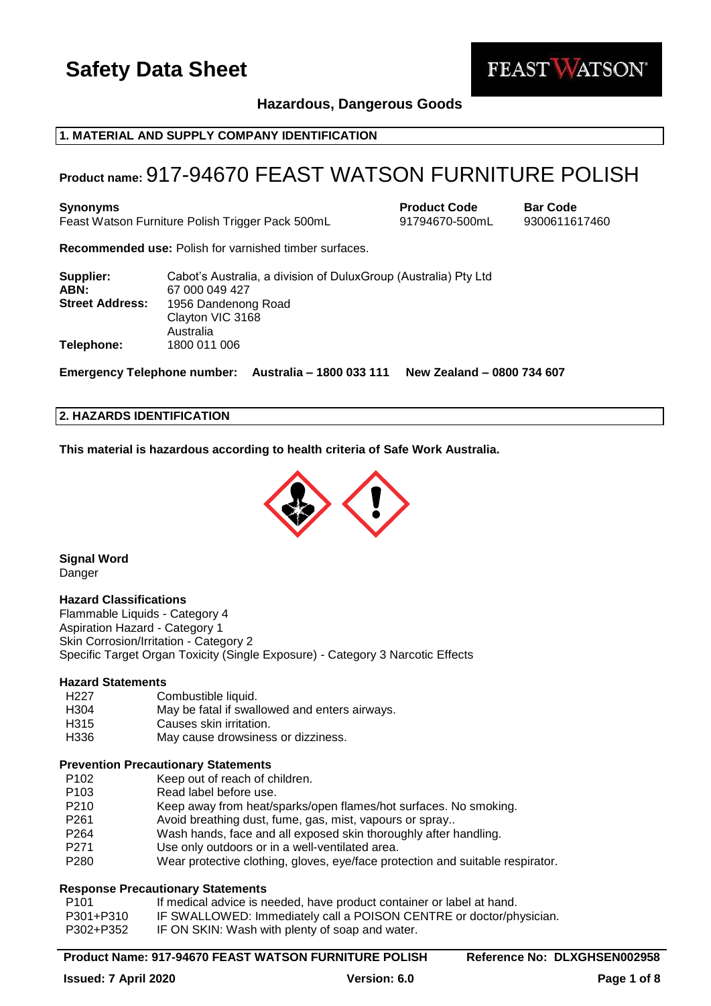

**Hazardous, Dangerous Goods**

## **1. MATERIAL AND SUPPLY COMPANY IDENTIFICATION**

## **Product name:** 917-94670 FEAST WATSON FURNITURE POLISH

**Synonyms Product Code Bar Code** Feast Watson Furniture Polish Trigger Pack 500mL 91794670-500mL 9300611617460

**Recommended use:** Polish for varnished timber surfaces.

| Supplier:<br>ABN:      | Cabot's Australia, a division of DuluxGroup (Australia) Pty Ltd<br>67 000 049 427 |
|------------------------|-----------------------------------------------------------------------------------|
| <b>Street Address:</b> | 1956 Dandenong Road<br>Clayton VIC 3168<br>Australia                              |
| Telephone:             | 1800 011 006                                                                      |

**Emergency Telephone number: Australia – 1800 033 111 New Zealand – 0800 734 607**

## **2. HAZARDS IDENTIFICATION**

**This material is hazardous according to health criteria of Safe Work Australia.**



**Signal Word**

## Danger

## **Hazard Classifications**

Flammable Liquids - Category 4 Aspiration Hazard - Category 1 Skin Corrosion/Irritation - Category 2 Specific Target Organ Toxicity (Single Exposure) - Category 3 Narcotic Effects

### **Hazard Statements**

| H <sub>227</sub> | Combustible liquid.                           |
|------------------|-----------------------------------------------|
| H <sub>304</sub> | May be fatal if swallowed and enters airways. |
| H315             | Causes skin irritation.                       |
| H336             | May cause drowsiness or dizziness.            |

#### **Prevention Precautionary Statements**

- P102 Keep out of reach of children.
- P103 Read label before use.
- P210 Keep away from heat/sparks/open flames/hot surfaces. No smoking.<br>P261 Avoid breathing dust. fume. gas. mist, vapours or spray..
- Avoid breathing dust, fume, gas, mist, vapours or spray..
- P264 Wash hands, face and all exposed skin thoroughly after handling.
- P271 Use only outdoors or in a well-ventilated area.
- P280 Wear protective clothing, gloves, eye/face protection and suitable respirator.

### **Response Precautionary Statements**

- P101 If medical advice is needed, have product container or label at hand.
- P301+P310 IF SWALLOWED: Immediately call a POISON CENTRE or doctor/physician.
- P302+P352 IF ON SKIN: Wash with plenty of soap and water.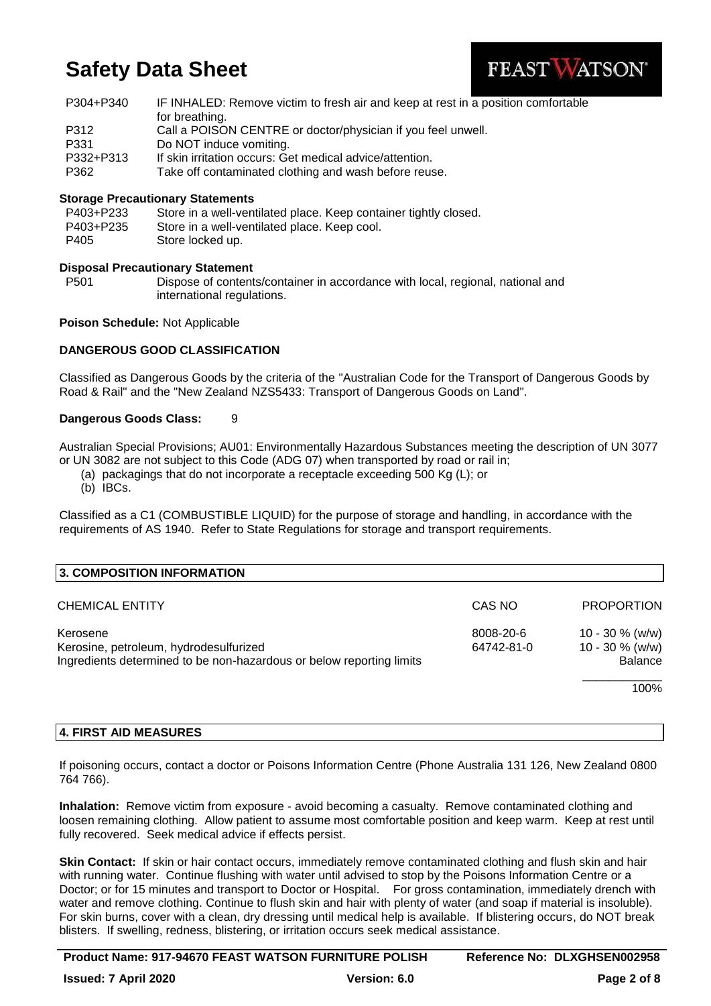

| P304+P340 | IF INHALED: Remove victim to fresh air and keep at rest in a position comfortable |
|-----------|-----------------------------------------------------------------------------------|
|           | for breathing.                                                                    |
| P312      | Call a POISON CENTRE or doctor/physician if you feel unwell.                      |
| P331      | Do NOT induce vomiting.                                                           |
| P332+P313 | If skin irritation occurs: Get medical advice/attention.                          |
| P362      | Take off contaminated clothing and wash before reuse.                             |

## **Storage Precautionary Statements**

| P403+P233 | Store in a well-ventilated place. Keep container tightly closed. |
|-----------|------------------------------------------------------------------|
| P403+P235 | Store in a well-ventilated place. Keep cool.                     |
| P405      | Store locked up.                                                 |

### **Disposal Precautionary Statement**

P501 Dispose of contents/container in accordance with local, regional, national and international regulations.

### **Poison Schedule:** Not Applicable

## **DANGEROUS GOOD CLASSIFICATION**

Classified as Dangerous Goods by the criteria of the "Australian Code for the Transport of Dangerous Goods by Road & Rail" and the "New Zealand NZS5433: Transport of Dangerous Goods on Land".

### **Dangerous Goods Class:** 9

Australian Special Provisions; AU01: Environmentally Hazardous Substances meeting the description of UN 3077 or UN 3082 are not subject to this Code (ADG 07) when transported by road or rail in;

(a) packagings that do not incorporate a receptacle exceeding 500 Kg (L); or

(b) IBCs.

Classified as a C1 (COMBUSTIBLE LIQUID) for the purpose of storage and handling, in accordance with the requirements of AS 1940. Refer to State Regulations for storage and transport requirements.

| 3. COMPOSITION INFORMATION                                           |            |                    |
|----------------------------------------------------------------------|------------|--------------------|
| <b>CHEMICAL ENTITY</b>                                               | CAS NO     | <b>PROPORTION</b>  |
| Kerosene                                                             | 8008-20-6  | $10 - 30 \%$ (w/w) |
| Kerosine, petroleum, hydrodesulfurized                               | 64742-81-0 | 10 - 30 $%$ (w/w)  |
| Ingredients determined to be non-hazardous or below reporting limits |            | <b>Balance</b>     |
|                                                                      |            | 100%               |

### **4. FIRST AID MEASURES**

If poisoning occurs, contact a doctor or Poisons Information Centre (Phone Australia 131 126, New Zealand 0800 764 766).

**Inhalation:** Remove victim from exposure - avoid becoming a casualty. Remove contaminated clothing and loosen remaining clothing. Allow patient to assume most comfortable position and keep warm. Keep at rest until fully recovered. Seek medical advice if effects persist.

**Skin Contact:** If skin or hair contact occurs, immediately remove contaminated clothing and flush skin and hair with running water. Continue flushing with water until advised to stop by the Poisons Information Centre or a Doctor; or for 15 minutes and transport to Doctor or Hospital. For gross contamination, immediately drench with water and remove clothing. Continue to flush skin and hair with plenty of water (and soap if material is insoluble). For skin burns, cover with a clean, dry dressing until medical help is available. If blistering occurs, do NOT break blisters. If swelling, redness, blistering, or irritation occurs seek medical assistance.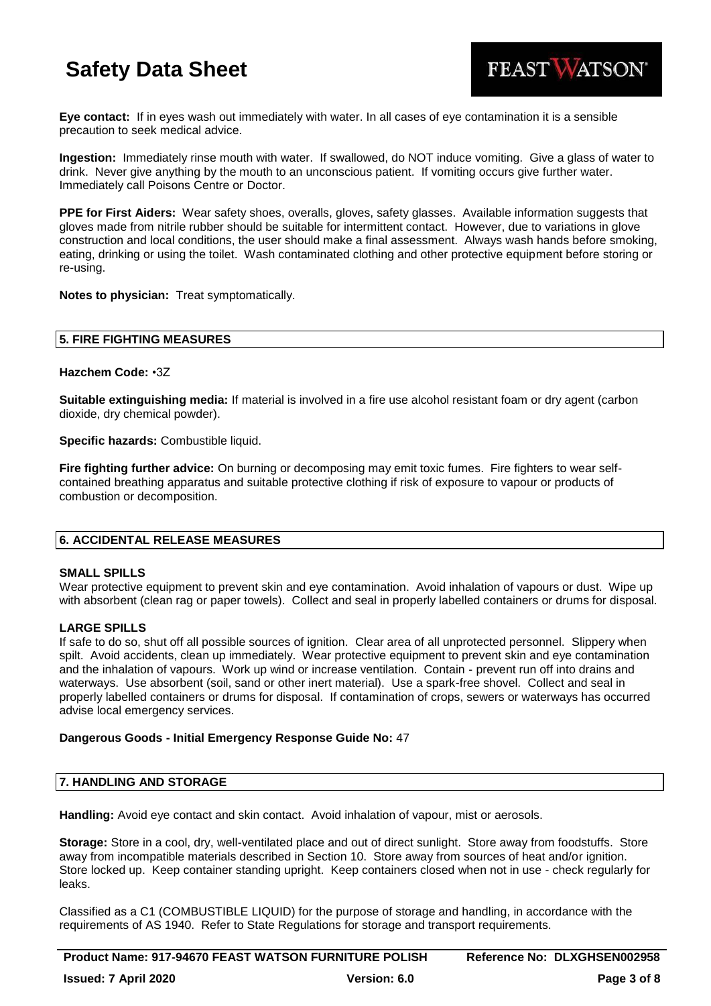

**Eye contact:** If in eyes wash out immediately with water. In all cases of eye contamination it is a sensible precaution to seek medical advice.

**Ingestion:** Immediately rinse mouth with water. If swallowed, do NOT induce vomiting. Give a glass of water to drink. Never give anything by the mouth to an unconscious patient. If vomiting occurs give further water. Immediately call Poisons Centre or Doctor.

**PPE for First Aiders:** Wear safety shoes, overalls, gloves, safety glasses. Available information suggests that gloves made from nitrile rubber should be suitable for intermittent contact. However, due to variations in glove construction and local conditions, the user should make a final assessment. Always wash hands before smoking, eating, drinking or using the toilet. Wash contaminated clothing and other protective equipment before storing or re-using.

**Notes to physician:** Treat symptomatically.

## **5. FIRE FIGHTING MEASURES**

### **Hazchem Code:** •3Z

**Suitable extinguishing media:** If material is involved in a fire use alcohol resistant foam or dry agent (carbon dioxide, dry chemical powder).

**Specific hazards:** Combustible liquid.

**Fire fighting further advice:** On burning or decomposing may emit toxic fumes. Fire fighters to wear selfcontained breathing apparatus and suitable protective clothing if risk of exposure to vapour or products of combustion or decomposition.

## **6. ACCIDENTAL RELEASE MEASURES**

### **SMALL SPILLS**

Wear protective equipment to prevent skin and eye contamination. Avoid inhalation of vapours or dust. Wipe up with absorbent (clean rag or paper towels). Collect and seal in properly labelled containers or drums for disposal.

### **LARGE SPILLS**

If safe to do so, shut off all possible sources of ignition. Clear area of all unprotected personnel. Slippery when spilt. Avoid accidents, clean up immediately. Wear protective equipment to prevent skin and eye contamination and the inhalation of vapours. Work up wind or increase ventilation. Contain - prevent run off into drains and waterways. Use absorbent (soil, sand or other inert material). Use a spark-free shovel. Collect and seal in properly labelled containers or drums for disposal. If contamination of crops, sewers or waterways has occurred advise local emergency services.

### **Dangerous Goods - Initial Emergency Response Guide No:** 47

## **7. HANDLING AND STORAGE**

**Handling:** Avoid eye contact and skin contact. Avoid inhalation of vapour, mist or aerosols.

**Storage:** Store in a cool, dry, well-ventilated place and out of direct sunlight. Store away from foodstuffs. Store away from incompatible materials described in Section 10. Store away from sources of heat and/or ignition. Store locked up. Keep container standing upright. Keep containers closed when not in use - check regularly for leaks.

Classified as a C1 (COMBUSTIBLE LIQUID) for the purpose of storage and handling, in accordance with the requirements of AS 1940. Refer to State Regulations for storage and transport requirements.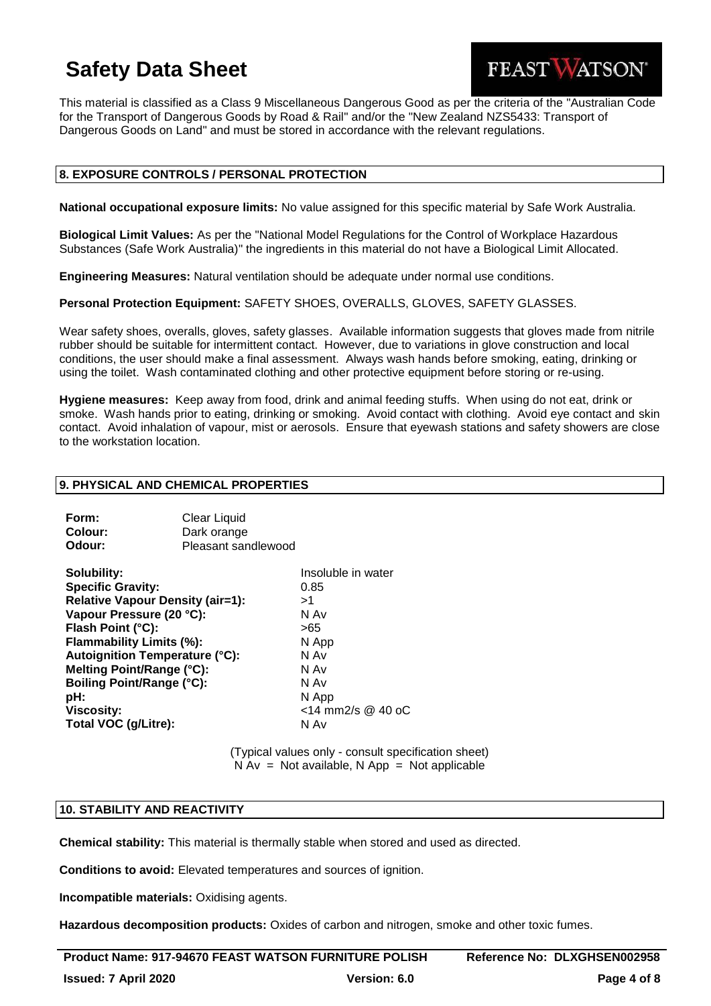

This material is classified as a Class 9 Miscellaneous Dangerous Good as per the criteria of the "Australian Code for the Transport of Dangerous Goods by Road & Rail" and/or the "New Zealand NZS5433: Transport of Dangerous Goods on Land" and must be stored in accordance with the relevant regulations.

## **8. EXPOSURE CONTROLS / PERSONAL PROTECTION**

**National occupational exposure limits:** No value assigned for this specific material by Safe Work Australia.

**Biological Limit Values:** As per the "National Model Regulations for the Control of Workplace Hazardous Substances (Safe Work Australia)" the ingredients in this material do not have a Biological Limit Allocated.

**Engineering Measures:** Natural ventilation should be adequate under normal use conditions.

**Personal Protection Equipment:** SAFETY SHOES, OVERALLS, GLOVES, SAFETY GLASSES.

Wear safety shoes, overalls, gloves, safety glasses. Available information suggests that gloves made from nitrile rubber should be suitable for intermittent contact. However, due to variations in glove construction and local conditions, the user should make a final assessment. Always wash hands before smoking, eating, drinking or using the toilet. Wash contaminated clothing and other protective equipment before storing or re-using.

**Hygiene measures:** Keep away from food, drink and animal feeding stuffs. When using do not eat, drink or smoke. Wash hands prior to eating, drinking or smoking. Avoid contact with clothing. Avoid eye contact and skin contact. Avoid inhalation of vapour, mist or aerosols. Ensure that eyewash stations and safety showers are close to the workstation location.

### **9. PHYSICAL AND CHEMICAL PROPERTIES**

**Form:** Clear Liquid

| гонн.                            | Clear Liguid                            |                    |
|----------------------------------|-----------------------------------------|--------------------|
| Colour:                          | Dark orange                             |                    |
| Odour:                           | Pleasant sandlewood                     |                    |
| Solubility:                      |                                         | Insoluble in water |
| <b>Specific Gravity:</b>         |                                         | 0.85               |
|                                  | <b>Relative Vapour Density (air=1):</b> | >1                 |
| Vapour Pressure (20 °C):         |                                         | N Av               |
| Flash Point (°C):                |                                         | >65                |
| Flammability Limits (%):         |                                         | N App              |
|                                  | Autoignition Temperature (°C):          | N Av               |
| Melting Point/Range (°C):        |                                         | N Av               |
| <b>Boiling Point/Range (°C):</b> |                                         | N Av               |
| pH:                              |                                         | N App              |
| <b>Viscosity:</b>                |                                         | <14 mm2/s @ 40 oC  |
| Total VOC (g/Litre):             |                                         | N Av               |
|                                  |                                         |                    |

(Typical values only - consult specification sheet)  $N Av = Not available, N App = Not applicable$ 

## **10. STABILITY AND REACTIVITY**

**Chemical stability:** This material is thermally stable when stored and used as directed.

**Conditions to avoid:** Elevated temperatures and sources of ignition.

**Incompatible materials:** Oxidising agents.

**Hazardous decomposition products:** Oxides of carbon and nitrogen, smoke and other toxic fumes.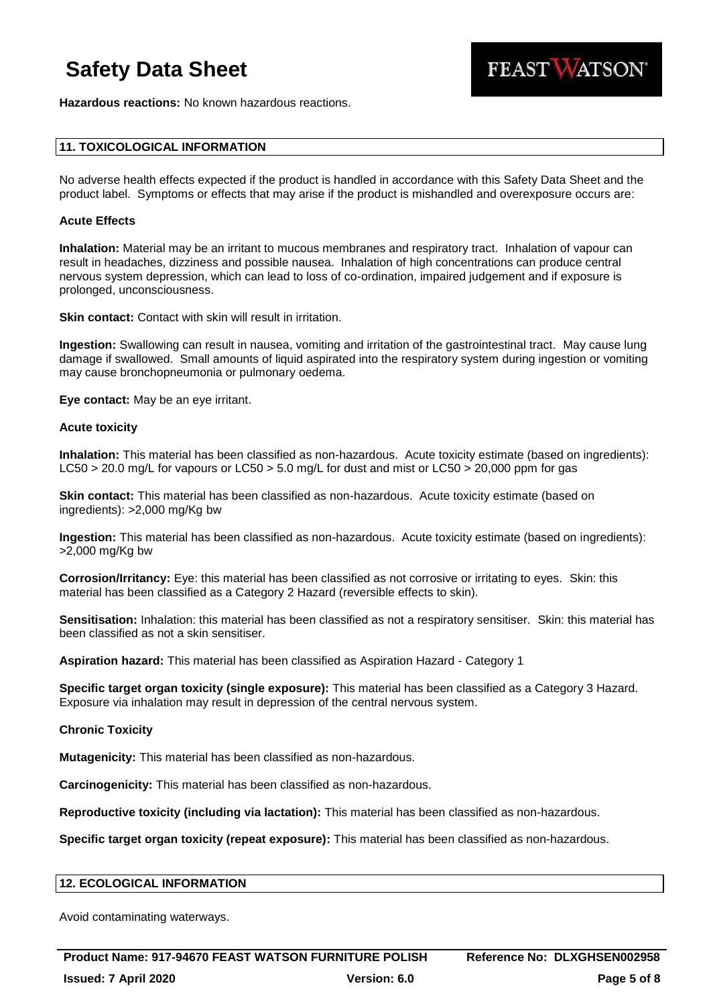FEAST WATSON®

**Hazardous reactions:** No known hazardous reactions.

## **11. TOXICOLOGICAL INFORMATION**

No adverse health effects expected if the product is handled in accordance with this Safety Data Sheet and the product label. Symptoms or effects that may arise if the product is mishandled and overexposure occurs are:

### **Acute Effects**

**Inhalation:** Material may be an irritant to mucous membranes and respiratory tract. Inhalation of vapour can result in headaches, dizziness and possible nausea. Inhalation of high concentrations can produce central nervous system depression, which can lead to loss of co-ordination, impaired judgement and if exposure is prolonged, unconsciousness.

**Skin contact:** Contact with skin will result in irritation.

**Ingestion:** Swallowing can result in nausea, vomiting and irritation of the gastrointestinal tract. May cause lung damage if swallowed. Small amounts of liquid aspirated into the respiratory system during ingestion or vomiting may cause bronchopneumonia or pulmonary oedema.

**Eye contact:** May be an eye irritant.

#### **Acute toxicity**

**Inhalation:** This material has been classified as non-hazardous. Acute toxicity estimate (based on ingredients): LC50 > 20.0 mg/L for vapours or LC50 > 5.0 mg/L for dust and mist or LC50 > 20,000 ppm for gas

**Skin contact:** This material has been classified as non-hazardous. Acute toxicity estimate (based on ingredients): >2,000 mg/Kg bw

**Ingestion:** This material has been classified as non-hazardous. Acute toxicity estimate (based on ingredients): >2,000 mg/Kg bw

**Corrosion/Irritancy:** Eye: this material has been classified as not corrosive or irritating to eyes. Skin: this material has been classified as a Category 2 Hazard (reversible effects to skin).

**Sensitisation:** Inhalation: this material has been classified as not a respiratory sensitiser. Skin: this material has been classified as not a skin sensitiser.

**Aspiration hazard:** This material has been classified as Aspiration Hazard - Category 1

**Specific target organ toxicity (single exposure):** This material has been classified as a Category 3 Hazard. Exposure via inhalation may result in depression of the central nervous system.

### **Chronic Toxicity**

**Mutagenicity:** This material has been classified as non-hazardous.

**Carcinogenicity:** This material has been classified as non-hazardous.

**Reproductive toxicity (including via lactation):** This material has been classified as non-hazardous.

**Specific target organ toxicity (repeat exposure):** This material has been classified as non-hazardous.

## **12. ECOLOGICAL INFORMATION**

Avoid contaminating waterways.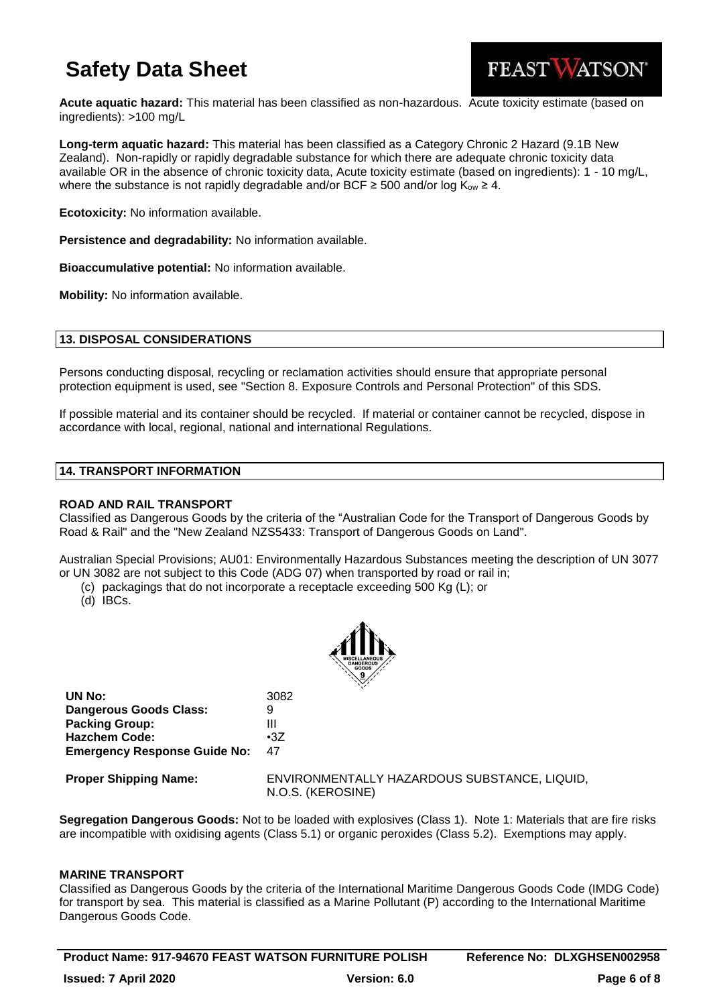

**Acute aquatic hazard:** This material has been classified as non-hazardous. Acute toxicity estimate (based on ingredients): >100 mg/L

**Long-term aquatic hazard:** This material has been classified as a Category Chronic 2 Hazard (9.1B New Zealand). Non-rapidly or rapidly degradable substance for which there are adequate chronic toxicity data available OR in the absence of chronic toxicity data, Acute toxicity estimate (based on ingredients): 1 - 10 mg/L, where the substance is not rapidly degradable and/or BCF  $\geq$  500 and/or log K<sub>ow</sub>  $\geq$  4.

**Ecotoxicity:** No information available.

**Persistence and degradability:** No information available.

**Bioaccumulative potential:** No information available.

**Mobility:** No information available.

## **13. DISPOSAL CONSIDERATIONS**

Persons conducting disposal, recycling or reclamation activities should ensure that appropriate personal protection equipment is used, see "Section 8. Exposure Controls and Personal Protection" of this SDS.

If possible material and its container should be recycled. If material or container cannot be recycled, dispose in accordance with local, regional, national and international Regulations.

## **14. TRANSPORT INFORMATION**

### **ROAD AND RAIL TRANSPORT**

Classified as Dangerous Goods by the criteria of the "Australian Code for the Transport of Dangerous Goods by Road & Rail" and the "New Zealand NZS5433: Transport of Dangerous Goods on Land".

Australian Special Provisions; AU01: Environmentally Hazardous Substances meeting the description of UN 3077 or UN 3082 are not subject to this Code (ADG 07) when transported by road or rail in;

(c) packagings that do not incorporate a receptacle exceeding 500 Kg (L); or

(d) IBCs.



| UN No:                              | 3082       |
|-------------------------------------|------------|
| <b>Dangerous Goods Class:</b>       | 9          |
| <b>Packing Group:</b>               | Ш          |
| <b>Hazchem Code:</b>                | $\cdot 37$ |
| <b>Emergency Response Guide No:</b> | 47         |
|                                     |            |

**Proper Shipping Name:** ENVIRONMENTALLY HAZARDOUS SUBSTANCE, LIQUID, N.O.S. (KEROSINE)

**Segregation Dangerous Goods:** Not to be loaded with explosives (Class 1). Note 1: Materials that are fire risks are incompatible with oxidising agents (Class 5.1) or organic peroxides (Class 5.2). Exemptions may apply.

### **MARINE TRANSPORT**

Classified as Dangerous Goods by the criteria of the International Maritime Dangerous Goods Code (IMDG Code) for transport by sea. This material is classified as a Marine Pollutant (P) according to the International Maritime Dangerous Goods Code.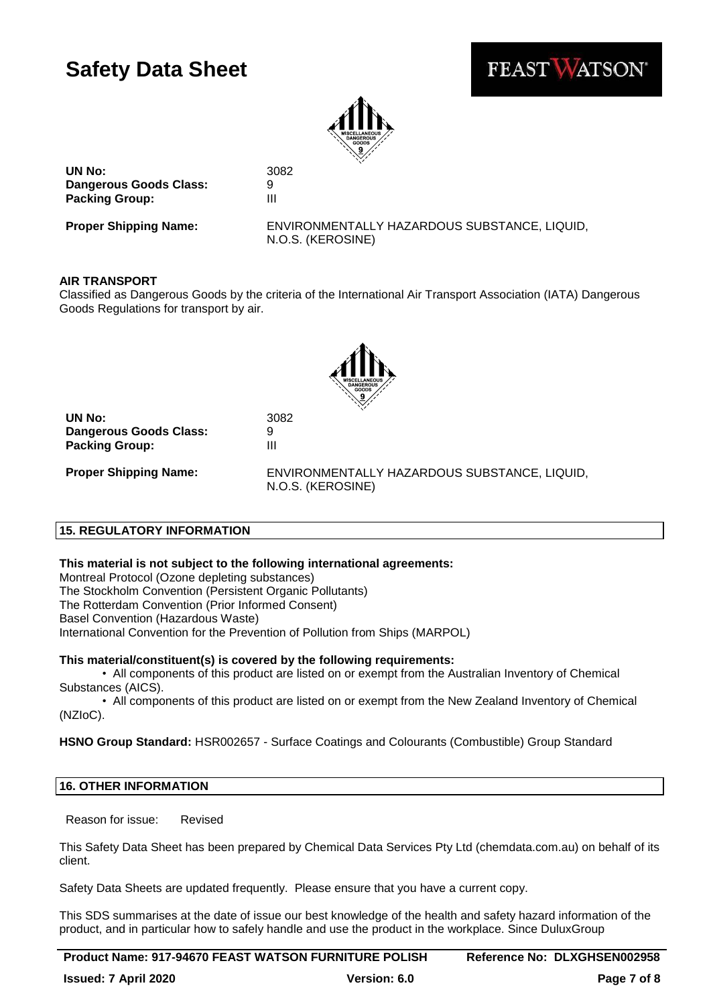



**UN No:** 3082 **Dangerous Goods Class:** 9 **Packing Group:** III

**Proper Shipping Name:** ENVIRONMENTALLY HAZARDOUS SUBSTANCE, LIQUID, N.O.S. (KEROSINE)

## **AIR TRANSPORT**

Classified as Dangerous Goods by the criteria of the International Air Transport Association (IATA) Dangerous Goods Regulations for transport by air.



**UN No:** 3082 **Dangerous Goods Class:** 9 **Packing Group:** III

**Proper Shipping Name:** ENVIRONMENTALLY HAZARDOUS SUBSTANCE, LIQUID, N.O.S. (KEROSINE)

## **15. REGULATORY INFORMATION**

### **This material is not subject to the following international agreements:**

Montreal Protocol (Ozone depleting substances) The Stockholm Convention (Persistent Organic Pollutants) The Rotterdam Convention (Prior Informed Consent) Basel Convention (Hazardous Waste) International Convention for the Prevention of Pollution from Ships (MARPOL)

## **This material/constituent(s) is covered by the following requirements:**

• All components of this product are listed on or exempt from the Australian Inventory of Chemical Substances (AICS).

• All components of this product are listed on or exempt from the New Zealand Inventory of Chemical (NZIoC).

**HSNO Group Standard:** HSR002657 - Surface Coatings and Colourants (Combustible) Group Standard

## **16. OTHER INFORMATION**

Reason for issue: Revised

This Safety Data Sheet has been prepared by Chemical Data Services Pty Ltd (chemdata.com.au) on behalf of its client.

Safety Data Sheets are updated frequently. Please ensure that you have a current copy.

This SDS summarises at the date of issue our best knowledge of the health and safety hazard information of the product, and in particular how to safely handle and use the product in the workplace. Since DuluxGroup